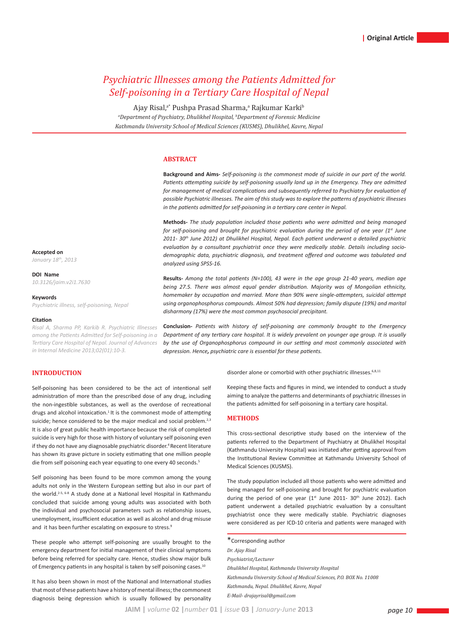# *Psychiatric Illnesses among the Patients Admitted for Self-poisoning in a Tertiary Care Hospital of Nepal*

Ajay Risal,<sup>a•</sup> Pushpa Prasad Sharma,ª Rajkumar Karki<sup>b</sup> *a Department of Psychiatry, Dhulikhel Hospital, b Department of Forensic Medicine Kathmandu University School of Medical Sciences (KUSMS), Dhulikhel, Kavre, Nepal*

# **ABSTRACT**

**Background and Aims-** *Self-poisoning is the commonest mode of suicide in our part of the world.*  Patients attempting suicide by self-poisoning usually land up in the Emergency. They are admitted for management of medical complications and subsequently referred to Psychiatry for evaluation of *possible Psychiatric illnesses. The aim of this study was to explore the patterns of psychiatric illnesses in the patients admitted for self-poisoning in a tertiary care center in Nepal.*

**Methods-** *The study population included those patients who were admitted and being managed for self-poisoning and brought for psychiatric evaluation during the period of one year (1st June 2011- 30th June 2012) at Dhulikhel Hospital, Nepal. Each patient underwent a detailed psychiatric evaluation by a consultant psychiatrist once they were medically stable. Details including sociodemographic data, psychiatric diagnosis, and treatment offered and outcome was tabulated and analyzed using SPSS-16.*

**Results-** *Among the total patients (N=100), 43 were in the age group 21-40 years, median age being 27.5. There was almost equal gender distribution. Majority was of Mongolian ethnicity, homemaker by occupation and married. More than 90% were single-attempters, suicidal attempt using organophosphorus compounds. Almost 50% had depression; family dispute (19%) and marital disharmony (17%) were the most common psychosocial precipitant.*

**Conclusion-** *Patients with history of self-poisoning are commonly brought to the Emergency Department of any tertiary care hospital. It is widely prevalent on younger age group. It is usually by the use of Organophosphorus compound in our setting and most commonly associated with depression. Hence, psychiatric care is essential for these patients.*

# **INTRODUCTION**

Self-poisoning has been considered to be the act of intentional self administration of more than the prescribed dose of any drug, including the non-ingestible substances, as well as the overdose of recreational drugs and alcohol intoxication.<sup>1</sup> It is the commonest mode of attempting suicide; hence considered to be the major medical and social problem.<sup>2,3</sup> It is also of great public health importance because the risk of completed suicide is very high for those with history of voluntary self poisoning even if they do not have any diagnosable psychiatric disorder.<sup>4</sup> Recent literature has shown its grave picture in society estimating that one million people die from self poisoning each year equating to one every 40 seconds.<sup>5</sup>

Self poisoning has been found to be more common among the young adults not only in the Western European setting but also in our part of the world.2-5, 6-8 A study done at a National level Hospital in Kathmandu concluded that suicide among young adults was associated with both the individual and psychosocial parameters such as relationship issues, unemployment, insufficient education as well as alcohol and drug misuse and it has been further escalating on exposure to stress.<sup>9</sup>

These people who attempt self-poisoning are usually brought to the emergency department for initial management of their clinical symptoms before being referred for specialty care. Hence, studies show major bulk of Emergency patients in any hospital is taken by self poisoning cases.<sup>10</sup>

It has also been shown in most of the National and International studies that most of these patients have a history of mental illness; the commonest diagnosis being depression which is usually followed by personality disorder alone or comorbid with other psychiatric illnesses.<sup>6,8,11</sup>

Keeping these facts and figures in mind, we intended to conduct a study aiming to analyze the patterns and determinants of psychiatric illnesses in the patients admitted for self-poisoning in a tertiary care hospital.

### **METHODS**

This cross-sectional descriptive study based on the interview of the patients referred to the Department of Psychiatry at Dhulikhel Hospital (Kathmandu University Hospital) was initiated after getting approval from the Institutional Review Committee at Kathmandu University School of Medical Sciences (KUSMS).

The study population included all those patients who were admitted and being managed for self-poisoning and brought for psychiatric evaluation during the period of one year  $(1^{st}$  June 2011- 30<sup>th</sup> June 2012). Each patient underwent a detailed psychiatric evaluation by a consultant psychiatrist once they were medically stable. Psychiatric diagnoses were considered as per ICD-10 criteria and patients were managed with

\*Corresponding author *Dr. Ajay Risal Psychiatrist/Lecturer Dhulikhel Hospital, Kathmandu University Hospital Kathmandu University School of Medical Sciences, P.O. BOX No. 11008 Kathmandu, Nepal. Dhulikhel, Kavre, Nepal E-Mail- drajayrisal@gmail.com* 

**Accepted on** *January 18th, 2013*

**DOI Name**

*10.3126/jaim.v2i1.7630*

#### **Keywords**

*Psychiatric illness, self-poisoning, Nepal*

#### **Citation**

*Risal A, Sharma PP, Karkib R. Psychiatric Illnesses among the Patients Admitted for Self-poisoning in a Tertiary Care Hospital of Nepal. Journal of Advances in Internal Medicine 2013;02(01):10-3.*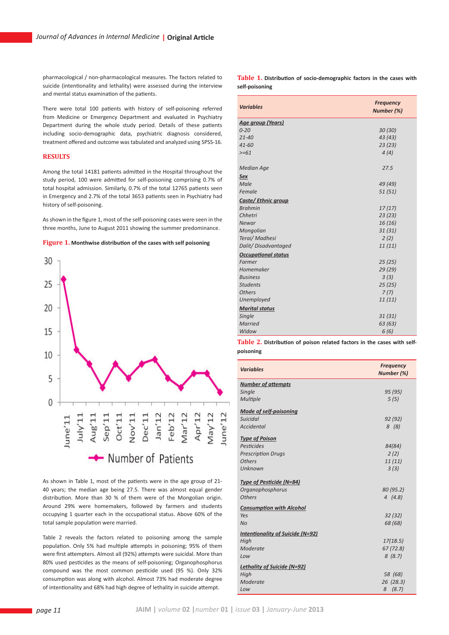pharmacological / non-pharmacological measures. The factors related to suicide (intentionality and lethality) were assessed during the interview and mental status examination of the patients.

There were total 100 patients with history of self-poisoning referred from Medicine or Emergency Department and evaluated in Psychiatry Department during the whole study period. Details of these patients including socio-demographic data, psychiatric diagnosis considered, treatment offered and outcome was tabulated and analyzed using SPSS-16.

# **RESULTS**

Among the total 14181 patients admitted in the Hospital throughout the study period, 100 were admitted for self-poisoning comprising 0.7% of total hospital admission. Similarly, 0.7% of the total 12765 patients seen in Emergency and 2.7% of the total 3653 patients seen in Psychiatry had history of self-poisoning.

As shown in the figure 1, most of the self-poisoning cases were seen in the three months, June to August 2011 showing the summer predominance.





As shown in Table 1, most of the patients were in the age group of 21- 40 years; the median age being 27.5. There was almost equal gender distribution. More than 30 % of them were of the Mongolian origin. Around 29% were homemakers, followed by farmers and students occupying 1 quarter each in the occupational status. Above 60% of the total sample population were married.

Table 2 reveals the factors related to poisoning among the sample population. Only 5% had multiple attempts in poisoning; 95% of them were first attempters. Almost all (92%) attempts were suicidal. More than 80% used pesticides as the means of self-poisoning; Organophosphorus compound was the most common pesticide used (95 %). Only 32% consumption was along with alcohol. Almost 73% had moderate degree of intentionality and 68% had high degree of lethality in suicide attempt.

**Table 1. Distribution of socio-demographic factors in the cases with self-poisoning**

| <b>Variables</b>           | <b>Frequency</b><br>Number (%) |
|----------------------------|--------------------------------|
| <b>Age group (Years)</b>   |                                |
| $0 - 20$                   | 30(30)                         |
| $21 - 40$                  | 43 (43)                        |
| $41 - 60$                  | 23(23)                         |
| $>= 61$                    | 4(4)                           |
| <b>Median Age</b>          | 27.5                           |
| Sex                        |                                |
| Male                       | 49 (49)                        |
| Female                     | 51(51)                         |
| Caste/Ethnic group         |                                |
| <b>Brahmin</b>             | 17(17)                         |
| Chhetri                    | 23(23)                         |
| Newar                      | 16(16)                         |
| Mongolian                  | 31(31)                         |
| Terai/ Madhesi             | 2(2)                           |
| Dalit/Disadvantaged        | 11(11)                         |
| <b>Occupational status</b> |                                |
| Farmer                     | 25(25)                         |
| Homemaker                  | 29 (29)                        |
| <b>Business</b>            | 3(3)                           |
| <b>Students</b>            | 25(25)                         |
| <b>Others</b>              | 7(7)                           |
| Unemployed                 | 11(11)                         |
| <b>Marital status</b>      |                                |
| Single                     | 31(31)                         |
| Married                    | 63(63)                         |
| Widow                      | 6(6)                           |

**Table 2. Distribution of poison related factors in the cases with selfpoisoning**

| <b>Variables</b>                   | <b>Frequency</b><br>Number (%) |
|------------------------------------|--------------------------------|
| <b>Number of attempts</b>          |                                |
| Single                             | 95 (95)                        |
| Multiple                           | 5(5)                           |
| <b>Mode of self-poisoning</b>      |                                |
| Suicidal                           | 92(92)                         |
| <b>Accidental</b>                  | 8(8)                           |
| <b>Type of Poison</b>              |                                |
| Pesticides                         | 84(84)                         |
| <b>Prescription Drugs</b>          | 2(2)                           |
| <b>Others</b>                      | 11(11)                         |
| Unknown                            | 3(3)                           |
| <b>Type of Pesticide (N=84)</b>    |                                |
| Organophosphorus                   | 80 (95.2)                      |
| <b>Others</b>                      | 4(4.8)                         |
| <b>Consumption with Alcohol</b>    |                                |
| Yes                                | 32(32)                         |
| No                                 | 68 (68)                        |
| Intentionality of Suicide (N=92)   |                                |
| High                               | 17(18.5)                       |
| Moderate                           | 67(72.8)                       |
| Low                                | 8(8.7)                         |
| <b>Lethality of Suicide (N=92)</b> |                                |
| High                               | 58 (68)                        |
| Moderate                           | 26 (28.3)                      |
| Low                                | (8.7)<br>8                     |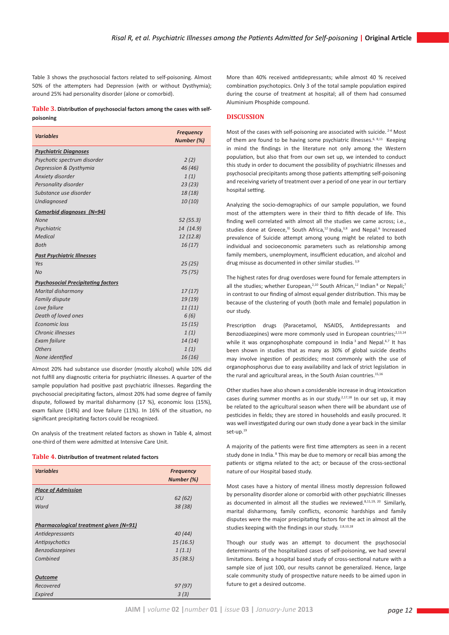Table 3 shows the psychosocial factors related to self-poisoning. Almost 50% of the attempters had Depression (with or without Dysthymia); around 25% had personality disorder (alone or comorbid).

### **Table 3. Distribution of psychosocial factors among the cases with selfpoisoning**

| <b>Variables</b>                          | <b>Frequency</b><br>Number (%) |
|-------------------------------------------|--------------------------------|
| <b>Psychiatric Diagnoses</b>              |                                |
| Psychotic spectrum disorder               | 2(2)                           |
| Depression & Dysthymia                    | 46 (46)                        |
| Anxiety disorder                          | 1(1)                           |
| Personality disorder                      | 23(23)                         |
| Substance use disorder                    | 18 (18)                        |
| Undiagnosed                               | 10(10)                         |
| <b>Comorbid diagnoses (N=94)</b>          |                                |
| <b>None</b>                               | 52(55.3)                       |
| Psychiatric                               | 14 (14.9)                      |
| Medical                                   | 12(12.8)                       |
| <b>Both</b>                               | 16(17)                         |
| <b>Past Psychiatric Illnesses</b>         |                                |
| Yes                                       | 25(25)                         |
| <b>No</b>                                 | 75 (75)                        |
| <b>Psychosocial Precipitating factors</b> |                                |
| Marital disharmony                        | 17(17)                         |
| <b>Family dispute</b>                     | 19 (19)                        |
| Love failure                              | 11(11)                         |
| Death of loved ones                       | 6(6)                           |
| Economic loss                             | 15(15)                         |
| Chronic illnesses                         | 1(1)                           |
| Exam failure                              | 14(14)                         |
| <b>Others</b>                             | 1(1)                           |
| None identified                           | 16(16)                         |

Almost 20% had substance use disorder (mostly alcohol) while 10% did not fulfill any diagnostic criteria for psychiatric illnesses. A quarter of the sample population had positive past psychiatric illnesses. Regarding the psychosocial precipitating factors, almost 20% had some degree of family dispute, followed by marital disharmony (17 %), economic loss (15%), exam failure (14%) and love failure (11%). In 16% of the situation, no significant precipitating factors could be recognized.

On analysis of the treatment related factors as shown in Table 4, almost one-third of them were admitted at Intensive Care Unit.

### **Table 4. Distribution of treatment related factors**

| <b>Variables</b>                       | <b>Frequency</b> |
|----------------------------------------|------------------|
|                                        | Number (%)       |
| <b>Place of Admission</b>              |                  |
| ICU                                    | 62(62)           |
| Ward                                   | 38 (38)          |
|                                        |                  |
| Pharmacological treatment given (N=91) |                  |
| Antidepressants                        | 40(44)           |
| Antipsychotics                         | 15(16.5)         |
| <b>Benzodiazepines</b>                 | 1(1.1)           |
| Combined                               | 35(38.5)         |
|                                        |                  |
| <b>Outcome</b>                         |                  |
| Recovered                              | 97(97)           |
| Expired                                | 3(3)             |

More than 40% received antidepressants; while almost 40 % received combination psychotopics. Only 3 of the total sample population expired during the course of treatment at hospital; all of them had consumed Aluminium Phosphide compound.

# **DISCUSSION**

Most of the cases with self-poisoning are associated with suicide.<sup>2-4</sup> Most of them are found to be having some psychiatric illnesses.<sup>6, 8,11</sup> Keeping in mind the findings in the literature not only among the Western population, but also that from our own set up, we intended to conduct this study in order to document the possibility of psychiatric illnesses and psychosocial precipitants among those patients attempting self-poisoning and receiving variety of treatment over a period of one year in our tertiary hospital setting.

Analyzing the socio-demographics of our sample population, we found most of the attempters were in their third to fifth decade of life. This finding well correlated with almost all the studies we came across; i.e., studies done at Greece,<sup>10</sup> South Africa,<sup>12</sup> India,<sup>3,8</sup> and Nepal.<sup>6</sup> Increased prevalence of Suicide attempt among young might be related to both individual and socioeconomic parameters such as relationship among family members, unemployment, insufficient education, and alcohol and drug misuse as documented in other similar studies. 3,9

The highest rates for drug overdoses were found for female attempters in all the studies; whether European,<sup>2,10</sup> South African,<sup>12</sup> Indian<sup>8</sup> or Nepali;<sup>7</sup> in contrast to our finding of almost equal gender distribution. This may be because of the clustering of youth (both male and female) population in our study.

Prescription drugs (Paracetamol, NSAIDS, Antidepressants and Benzodiazepines) were more commonly used in European countries;<sup>2,13,14</sup> while it was organophosphate compound in India<sup>3</sup> and Nepal.<sup>6,7</sup> It has been shown in studies that as many as 30% of global suicide deaths may involve ingestion of pesticides; most commonly with the use of organophosphorus due to easy availability and lack of strict legislation in the rural and agricultural areas, in the South Asian countries.<sup>15,16</sup>

Other studies have also shown a considerable increase in drug intoxication cases during summer months as in our study.<sup>2,17,18</sup> In our set up, it may be related to the agricultural season when there will be abundant use of pesticides in fields; they are stored in households and easily procured. It was well investigated during our own study done a year back in the similar set-up.19

A majority of the patients were first time attempters as seen in a recent study done in India. <sup>8</sup> This may be due to memory or recall bias among the patients or stigma related to the act; or because of the cross-sectional nature of our Hospital based study.

Most cases have a history of mental illness mostly depression followed by personality disorder alone or comorbid with other psychiatric illnesses as documented in almost all the studies we reviewed.<sup>8,11,19, 20</sup> Similarly, marital disharmony, family conflicts, economic hardships and family disputes were the major precipitating factors for the act in almost all the studies keeping with the findings in our study. 2,8,10,18

Though our study was an attempt to document the psychosocial determinants of the hospitalized cases of self-poisoning, we had several limitations. Being a hospital based study of cross-sectional nature with a sample size of just 100, our results cannot be generalized. Hence, large scale community study of prospective nature needs to be aimed upon in future to get a desired outcome.